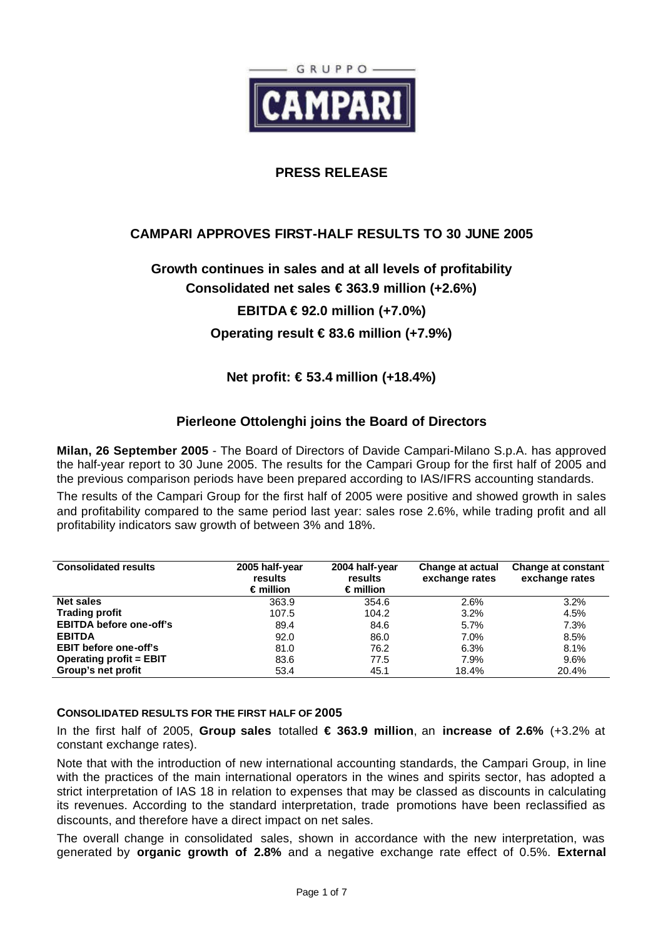

## **PRESS RELEASE**

# **CAMPARI APPROVES FIRST-HALF RESULTS TO 30 JUNE 2005**

# **Growth continues in sales and at all levels of profitability**

**Consolidated net sales € 363.9 million (+2.6%)**

# **EBITDA € 92.0 million (+7.0%)**

**Operating result € 83.6 million (+7.9%)**

## **Net profit: € 53.4 million (+18.4%)**

## **Pierleone Ottolenghi joins the Board of Directors**

**Milan, 26 September 2005** - The Board of Directors of Davide Campari-Milano S.p.A. has approved the half-year report to 30 June 2005. The results for the Campari Group for the first half of 2005 and the previous comparison periods have been prepared according to IAS/IFRS accounting standards.

The results of the Campari Group for the first half of 2005 were positive and showed growth in sales and profitability compared to the same period last year: sales rose 2.6%, while trading profit and all profitability indicators saw growth of between 3% and 18%.

| <b>Consolidated results</b>    | 2005 half-year<br>results<br>$\epsilon$ million | 2004 half-year<br>results<br>$\epsilon$ million | Change at actual<br>exchange rates | <b>Change at constant</b><br>exchange rates |
|--------------------------------|-------------------------------------------------|-------------------------------------------------|------------------------------------|---------------------------------------------|
| <b>Net sales</b>               | 363.9                                           | 354.6                                           | 2.6%                               | 3.2%                                        |
| <b>Trading profit</b>          | 107.5                                           | 104.2                                           | 3.2%                               | 4.5%                                        |
| <b>EBITDA before one-off's</b> | 89.4                                            | 84.6                                            | 5.7%                               | 7.3%                                        |
| <b>EBITDA</b>                  | 92.0                                            | 86.0                                            | 7.0%                               | 8.5%                                        |
| <b>EBIT before one-off's</b>   | 81.0                                            | 76.2                                            | 6.3%                               | 8.1%                                        |
| <b>Operating profit = EBIT</b> | 83.6                                            | 77.5                                            | 7.9%                               | 9.6%                                        |
| Group's net profit             | 53.4                                            | 45.1                                            | 18.4%                              | 20.4%                                       |

#### **CONSOLIDATED RESULTS FOR THE FIRST HALF OF 2005**

In the first half of 2005, **Group sales** totalled **€ 363.9 million**, an **increase of 2.6%** (+3.2% at constant exchange rates).

Note that with the introduction of new international accounting standards, the Campari Group, in line with the practices of the main international operators in the wines and spirits sector, has adopted a strict interpretation of IAS 18 in relation to expenses that may be classed as discounts in calculating its revenues. According to the standard interpretation, trade promotions have been reclassified as discounts, and therefore have a direct impact on net sales.

The overall change in consolidated sales, shown in accordance with the new interpretation, was generated by **organic growth of 2.8%** and a negative exchange rate effect of 0.5%. **External**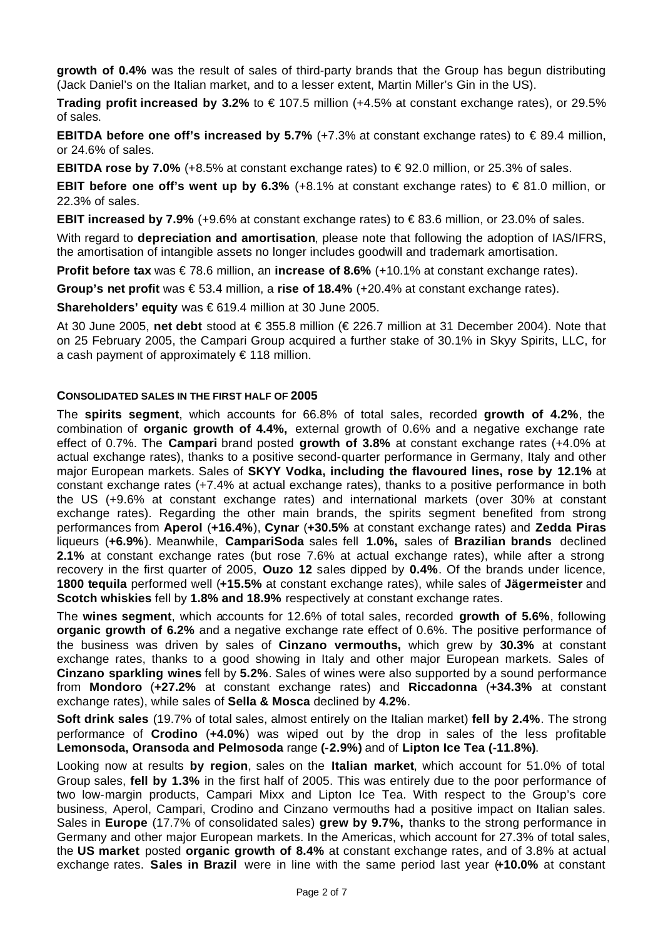**growth of 0.4%** was the result of sales of third-party brands that the Group has begun distributing (Jack Daniel's on the Italian market, and to a lesser extent, Martin Miller's Gin in the US).

**Trading profit increased by 3.2%** to € 107.5 million (+4.5% at constant exchange rates), or 29.5% of sales.

**EBITDA before one off's increased by 5.7%** (+7.3% at constant exchange rates) to €89.4 million, or 24.6% of sales.

**EBITDA rose by 7.0%** (+8.5% at constant exchange rates) to  $\in$  92.0 million, or 25.3% of sales.

**EBIT before one off's went up by 6.3%** (+8.1% at constant exchange rates) to €81.0 million, or 22.3% of sales.

**EBIT increased by 7.9%** (+9.6% at constant exchange rates) to € 83.6 million, or 23.0% of sales.

With regard to **depreciation and amortisation**, please note that following the adoption of IAS/IFRS, the amortisation of intangible assets no longer includes goodwill and trademark amortisation.

**Profit before tax** was € 78.6 million, an **increase of 8.6%** (+10.1% at constant exchange rates).

**Group's net profit** was € 53.4 million, a **rise of 18.4%** (+20.4% at constant exchange rates).

**Shareholders' equity** was € 619.4 million at 30 June 2005.

At 30 June 2005, **net debt** stood at € 355.8 million (€ 226.7 million at 31 December 2004). Note that on 25 February 2005, the Campari Group acquired a further stake of 30.1% in Skyy Spirits, LLC, for a cash payment of approximately  $\epsilon$  118 million.

#### **CONSOLIDATED SALES IN THE FIRST HALF OF 2005**

The **spirits segment**, which accounts for 66.8% of total sales, recorded **growth of 4.2%**, the combination of **organic growth of 4.4%,** external growth of 0.6% and a negative exchange rate effect of 0.7%. The **Campari** brand posted **growth of 3.8%** at constant exchange rates (+4.0% at actual exchange rates), thanks to a positive second-quarter performance in Germany, Italy and other major European markets. Sales of **SKYY Vodka, including the flavoured lines, rose by 12.1%** at constant exchange rates (+7.4% at actual exchange rates), thanks to a positive performance in both the US (+9.6% at constant exchange rates) and international markets (over 30% at constant exchange rates). Regarding the other main brands, the spirits segment benefited from strong performances from **Aperol** (**+16.4%**), **Cynar** (**+30.5%** at constant exchange rates) and **Zedda Piras** liqueurs (**+6.9%**). Meanwhile, **CampariSoda** sales fell **1.0%,** sales of **Brazilian brands** declined **2.1%** at constant exchange rates (but rose 7.6% at actual exchange rates), while after a strong recovery in the first quarter of 2005, **Ouzo 12** sales dipped by **0.4%**. Of the brands under licence, **1800 tequila** performed well (**+15.5%** at constant exchange rates), while sales of **Jägermeister** and **Scotch whiskies** fell by **1.8% and 18.9%** respectively at constant exchange rates.

The **wines segment**, which accounts for 12.6% of total sales, recorded **growth of 5.6%**, following **organic growth of 6.2%** and a negative exchange rate effect of 0.6%. The positive performance of the business was driven by sales of **Cinzano vermouths,** which grew by **30.3%** at constant exchange rates, thanks to a good showing in Italy and other major European markets. Sales of **Cinzano sparkling wines** fell by **5.2%**. Sales of wines were also supported by a sound performance from **Mondoro** (**+27.2%** at constant exchange rates) and **Riccadonna** (**+34.3%** at constant exchange rates), while sales of **Sella & Mosca** declined by **4.2%**.

**Soft drink sales** (19.7% of total sales, almost entirely on the Italian market) **fell by 2.4%**. The strong performance of **Crodino** (**+4.0%**) was wiped out by the drop in sales of the less profitable **Lemonsoda, Oransoda and Pelmosoda** range **(-2.9%)** and of **Lipton Ice Tea (-11.8%)**.

Looking now at results **by region**, sales on the **Italian market**, which account for 51.0% of total Group sales, **fell by 1.3%** in the first half of 2005. This was entirely due to the poor performance of two low-margin products, Campari Mixx and Lipton Ice Tea. With respect to the Group's core business, Aperol, Campari, Crodino and Cinzano vermouths had a positive impact on Italian sales. Sales in **Europe** (17.7% of consolidated sales) **grew by 9.7%,** thanks to the strong performance in Germany and other major European markets. In the Americas, which account for 27.3% of total sales, the **US market** posted **organic growth of 8.4%** at constant exchange rates, and of 3.8% at actual exchange rates. **Sales in Brazil** were in line with the same period last year (**+10.0%** at constant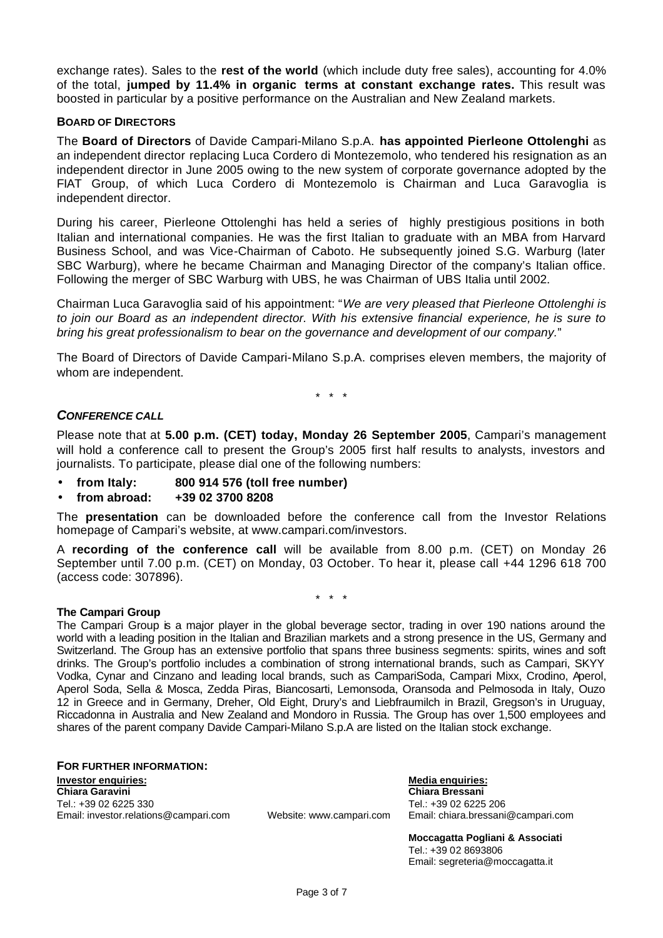exchange rates). Sales to the **rest of the world** (which include duty free sales), accounting for 4.0% of the total, **jumped by 11.4% in organic terms at constant exchange rates.** This result was boosted in particular by a positive performance on the Australian and New Zealand markets.

#### **BOARD OF DIRECTORS**

The **Board of Directors** of Davide Campari-Milano S.p.A. **has appointed Pierleone Ottolenghi** as an independent director replacing Luca Cordero di Montezemolo, who tendered his resignation as an independent director in June 2005 owing to the new system of corporate governance adopted by the FIAT Group, of which Luca Cordero di Montezemolo is Chairman and Luca Garavoglia is independent director.

During his career, Pierleone Ottolenghi has held a series of highly prestigious positions in both Italian and international companies. He was the first Italian to graduate with an MBA from Harvard Business School, and was Vice-Chairman of Caboto. He subsequently joined S.G. Warburg (later SBC Warburg), where he became Chairman and Managing Director of the company's Italian office. Following the merger of SBC Warburg with UBS, he was Chairman of UBS Italia until 2002.

Chairman Luca Garavoglia said of his appointment: "*We are very pleased that Pierleone Ottolenghi is to join our Board as an independent director. With his extensive financial experience, he is sure to bring his great professionalism to bear on the governance and development of our company.*"

The Board of Directors of Davide Campari-Milano S.p.A. comprises eleven members, the majority of whom are independent.

\* \* \*

#### *CONFERENCE CALL*

Please note that at **5.00 p.m. (CET) today, Monday 26 September 2005**, Campari's management will hold a conference call to present the Group's 2005 first half results to analysts, investors and journalists. To participate, please dial one of the following numbers:

- **from Italy: 800 914 576 (toll free number)**
- **from abroad: +39 02 3700 8208**

The **presentation** can be downloaded before the conference call from the Investor Relations homepage of Campari's website, at www.campari.com/investors.

A **recording of the conference call** will be available from 8.00 p.m. (CET) on Monday 26 September until 7.00 p.m. (CET) on Monday, 03 October. To hear it, please call +44 1296 618 700 (access code: 307896).

\* \* \*

#### **The Campari Group**

The Campari Group is a major player in the global beverage sector, trading in over 190 nations around the world with a leading position in the Italian and Brazilian markets and a strong presence in the US, Germany and Switzerland. The Group has an extensive portfolio that spans three business segments: spirits, wines and soft drinks. The Group's portfolio includes a combination of strong international brands, such as Campari, SKYY Vodka, Cynar and Cinzano and leading local brands, such as CampariSoda, Campari Mixx, Crodino, Aperol, Aperol Soda, Sella & Mosca, Zedda Piras, Biancosarti, Lemonsoda, Oransoda and Pelmosoda in Italy, Ouzo 12 in Greece and in Germany, Dreher, Old Eight, Drury's and Liebfraumilch in Brazil, Gregson's in Uruguay, Riccadonna in Australia and New Zealand and Mondoro in Russia. The Group has over 1,500 employees and shares of the parent company Davide Campari-Milano S.p.A are listed on the Italian stock exchange.

**FOR FURTHER INFORMATION: Investor enquiries: Media enquiries: Chiara Garavini Chiara Bressani** Tel.: +39 02 6225 330 Tel.: +39 02 6225 206 Email: investor.relations@campari.com Website: www.campari.com Email: chiara.bressani@campari.com

**Moccagatta Pogliani & Associati** Tel.: +39 02 8693806 Email: segreteria@moccagatta.it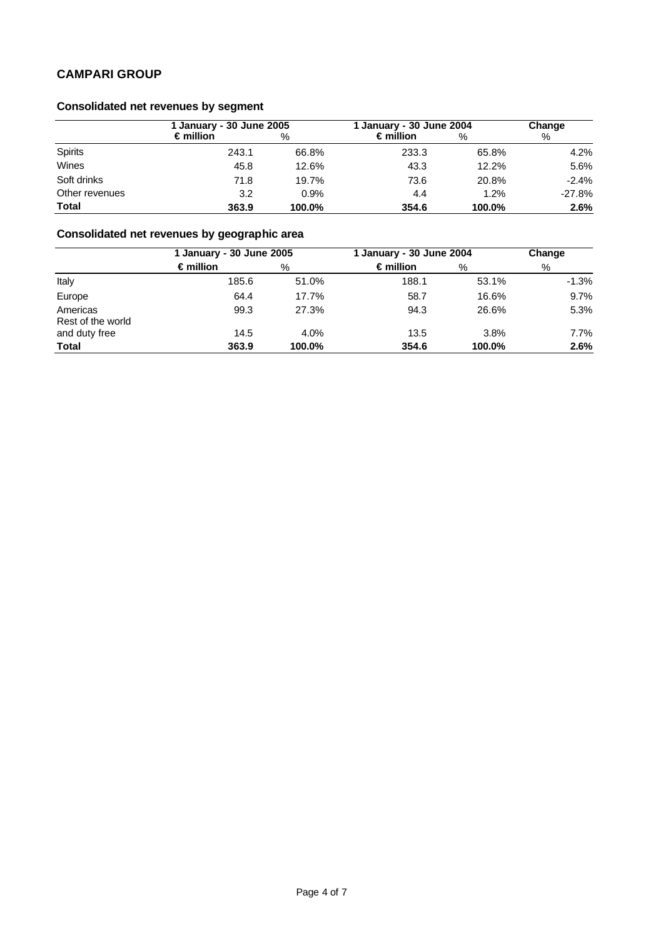# **Consolidated net revenues by segment**

|                | l January - 30 June 2005 |        | 1 January - 30 June 2004 |        | Change   |  |
|----------------|--------------------------|--------|--------------------------|--------|----------|--|
|                | $\epsilon$ million       | %      | $\epsilon$ million       | %      | %        |  |
| <b>Spirits</b> | 243.1                    | 66.8%  | 233.3                    | 65.8%  | 4.2%     |  |
| Wines          | 45.8                     | 12.6%  | 43.3                     | 12.2%  | 5.6%     |  |
| Soft drinks    | 71.8                     | 19.7%  | 73.6                     | 20.8%  | $-2.4%$  |  |
| Other revenues | 3.2                      | 0.9%   | 4.4                      | 1.2%   | $-27.8%$ |  |
| <b>Total</b>   | 363.9                    | 100.0% | 354.6                    | 100.0% | 2.6%     |  |

# **Consolidated net revenues by geographic area**

|                               | 1 January - 30 June 2005 |        | 1 January - 30 June 2004 |        | Change  |  |
|-------------------------------|--------------------------|--------|--------------------------|--------|---------|--|
|                               | $\epsilon$ million       | %      | $\epsilon$ million       | %      | %       |  |
| Italy                         | 185.6                    | 51.0%  | 188.1                    | 53.1%  | $-1.3%$ |  |
| Europe                        | 64.4                     | 17.7%  | 58.7                     | 16.6%  | 9.7%    |  |
| Americas<br>Rest of the world | 99.3                     | 27.3%  | 94.3                     | 26.6%  | 5.3%    |  |
| and duty free                 | 14.5                     | 4.0%   | 13.5                     | 3.8%   | 7.7%    |  |
| <b>Total</b>                  | 363.9                    | 100.0% | 354.6                    | 100.0% | 2.6%    |  |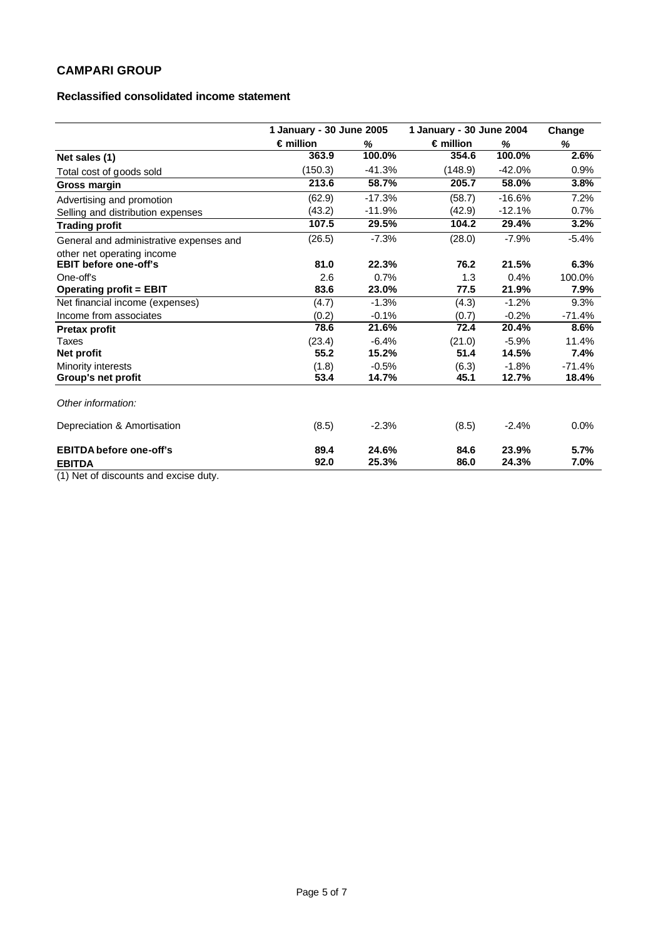#### **Reclassified consolidated income statement**

|                                                                                                           | 1 January - 30 June 2005 |                  | 1 January - 30 June 2004 |                  | Change            |
|-----------------------------------------------------------------------------------------------------------|--------------------------|------------------|--------------------------|------------------|-------------------|
|                                                                                                           | $\epsilon$ million       | %                | $\epsilon$ million       | %                | %                 |
| Net sales (1)                                                                                             | 363.9                    | 100.0%           | 354.6                    | 100.0%           | 2.6%              |
| Total cost of goods sold                                                                                  | (150.3)                  | $-41.3%$         | (148.9)                  | $-42.0%$         | 0.9%              |
| Gross margin                                                                                              | 213.6                    | 58.7%            | 205.7                    | 58.0%            | 3.8%              |
| Advertising and promotion                                                                                 | (62.9)                   | $-17.3%$         | (58.7)                   | $-16.6%$         | 7.2%              |
| Selling and distribution expenses                                                                         | (43.2)                   | $-11.9%$         | (42.9)                   | $-12.1%$         | 0.7%              |
| <b>Trading profit</b>                                                                                     | 107.5                    | 29.5%            | 104.2                    | 29.4%            | 3.2%              |
| General and administrative expenses and                                                                   | (26.5)                   | $-7.3%$          | (28.0)                   | $-7.9%$          | $-5.4%$           |
| other net operating income<br><b>EBIT before one-off's</b>                                                | 81.0                     | 22.3%            | 76.2                     | 21.5%            | 6.3%              |
| One-off's                                                                                                 | 2.6                      | 0.7%             | 1.3                      | 0.4%             | 100.0%            |
| <b>Operating profit = EBIT</b>                                                                            | 83.6                     | 23.0%            | 77.5                     | 21.9%            | 7.9%              |
| Net financial income (expenses)                                                                           | (4.7)                    | $-1.3%$          | (4.3)                    | $-1.2%$          | 9.3%              |
| Income from associates                                                                                    | (0.2)                    | $-0.1%$          | (0.7)                    | $-0.2%$          | $-71.4%$          |
| <b>Pretax profit</b>                                                                                      | 78.6                     | 21.6%            | 72.4                     | 20.4%            | 8.6%              |
| Taxes<br><b>Net profit</b>                                                                                | (23.4)<br>55.2           | $-6.4%$<br>15.2% | (21.0)<br>51.4           | $-5.9%$<br>14.5% | 11.4%<br>7.4%     |
| Minority interests<br>Group's net profit                                                                  | (1.8)<br>53.4            | $-0.5%$<br>14.7% | (6.3)<br>45.1            | $-1.8%$<br>12.7% | $-71.4%$<br>18.4% |
| Other information:                                                                                        |                          |                  |                          |                  |                   |
| Depreciation & Amortisation                                                                               | (8.5)                    | $-2.3%$          | (8.5)                    | $-2.4%$          | 0.0%              |
| <b>EBITDA before one-off's</b><br><b>EBITDA</b><br>743. Millet of alleged containing the containing about | 89.4<br>92.0             | 24.6%<br>25.3%   | 84.6<br>86.0             | 23.9%<br>24.3%   | 5.7%<br>7.0%      |

(1) Net of discounts and excise duty.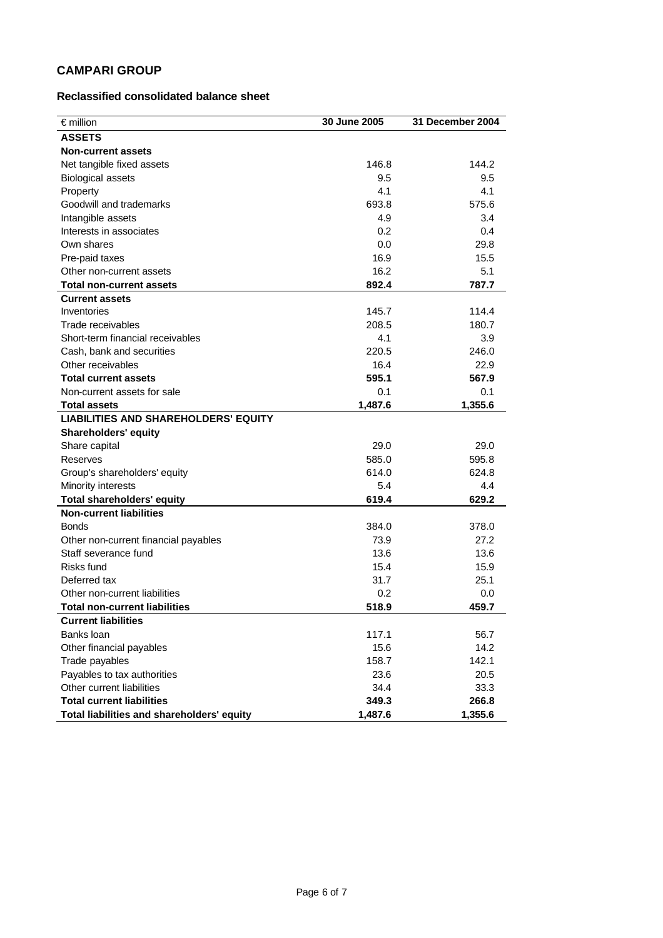#### **Reclassified consolidated balance sheet**

| $\epsilon$ million                          | 30 June 2005 | 31 December 2004 |
|---------------------------------------------|--------------|------------------|
| <b>ASSETS</b>                               |              |                  |
| <b>Non-current assets</b>                   |              |                  |
| Net tangible fixed assets                   | 146.8        | 144.2            |
| <b>Biological assets</b>                    | 9.5          | 9.5              |
| Property                                    | 4.1          | 4.1              |
| Goodwill and trademarks                     | 693.8        | 575.6            |
| Intangible assets                           | 4.9          | 3.4              |
| Interests in associates                     | 0.2          | 0.4              |
| Own shares                                  | 0.0          | 29.8             |
| Pre-paid taxes                              | 16.9         | 15.5             |
| Other non-current assets                    | 16.2         | 5.1              |
| <b>Total non-current assets</b>             | 892.4        | 787.7            |
| <b>Current assets</b>                       |              |                  |
| Inventories                                 | 145.7        | 114.4            |
| Trade receivables                           | 208.5        | 180.7            |
| Short-term financial receivables            | 4.1          | 3.9              |
| Cash, bank and securities                   | 220.5        | 246.0            |
| Other receivables                           | 16.4         | 22.9             |
| <b>Total current assets</b>                 | 595.1        | 567.9            |
| Non-current assets for sale                 | 0.1          | 0.1              |
| <b>Total assets</b>                         | 1,487.6      | 1,355.6          |
| <b>LIABILITIES AND SHAREHOLDERS' EQUITY</b> |              |                  |
| <b>Shareholders' equity</b>                 |              |                  |
| Share capital                               | 29.0         | 29.0             |
| Reserves                                    | 585.0        | 595.8            |
| Group's shareholders' equity                | 614.0        | 624.8            |
| Minority interests                          | 5.4          | 4.4              |
| <b>Total shareholders' equity</b>           | 619.4        | 629.2            |
| <b>Non-current liabilities</b>              |              |                  |
| <b>Bonds</b>                                | 384.0        | 378.0            |
| Other non-current financial payables        | 73.9         | 27.2             |
| Staff severance fund                        | 13.6         | 13.6             |
| Risks fund                                  | 15.4         | 15.9             |
| Deferred tax                                | 31.7         | 25.1             |
| Other non-current liabilities               | 0.2          | 0.0              |
| <b>Total non-current liabilities</b>        | 518.9        | 459.7            |
| <b>Current liabilities</b>                  |              |                  |
| Banks loan                                  | 117.1        | 56.7             |
| Other financial payables                    | 15.6         | 14.2             |
| Trade payables                              | 158.7        | 142.1            |
| Payables to tax authorities                 | 23.6         | 20.5             |
| Other current liabilities                   | 34.4         | 33.3             |
| <b>Total current liabilities</b>            | 349.3        | 266.8            |
| Total liabilities and shareholders' equity  | 1,487.6      | 1,355.6          |